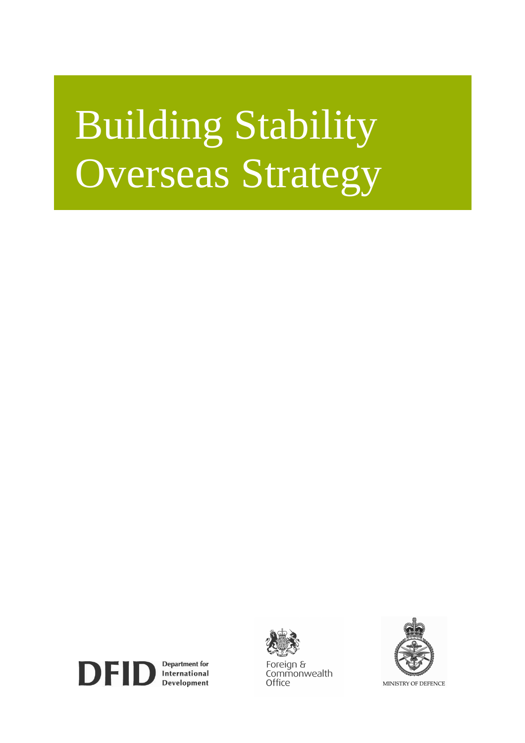# Building Stability Overseas Strategy



Foreian & Commonwealth Office



MINISTRY OF DEFENCE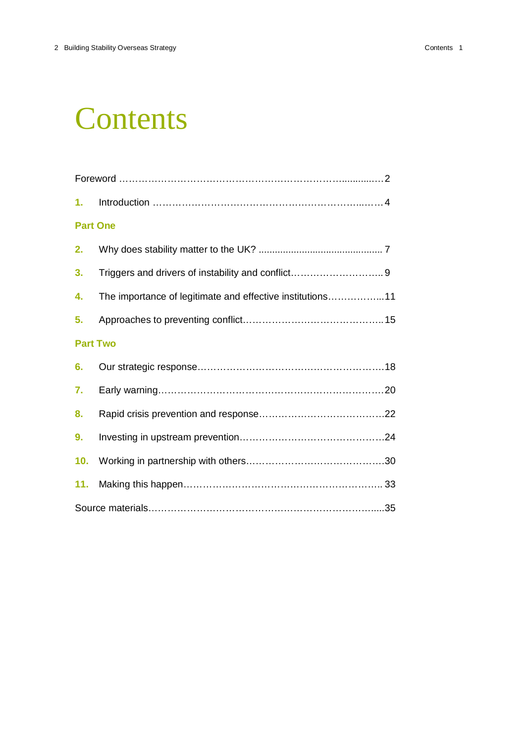### **Contents**

| 1.              |                                                           |  |
|-----------------|-----------------------------------------------------------|--|
| <b>Part One</b> |                                                           |  |
| 2.              |                                                           |  |
| 3.              |                                                           |  |
| 4.              | The importance of legitimate and effective institutions11 |  |
| 5.              |                                                           |  |
| <b>Part Two</b> |                                                           |  |
| 6.              |                                                           |  |
| 7.              |                                                           |  |
| 8.              |                                                           |  |
| 9.              |                                                           |  |
| 10.             |                                                           |  |
| 11.             |                                                           |  |
|                 |                                                           |  |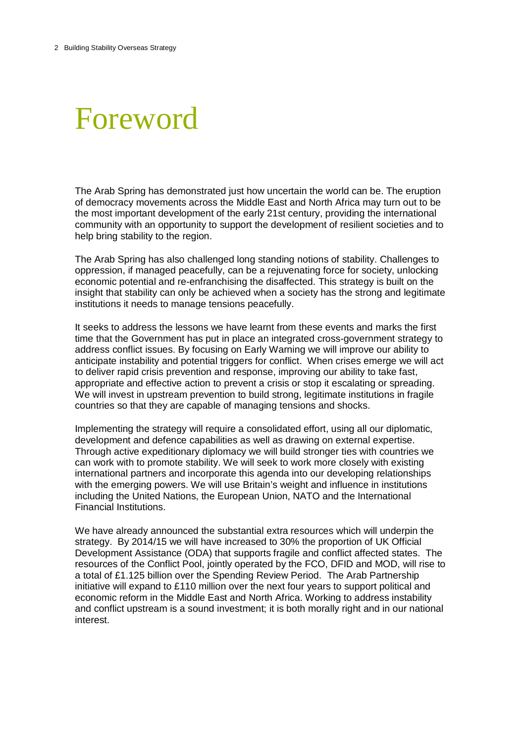### Foreword

The Arab Spring has demonstrated just how uncertain the world can be. The eruption of democracy movements across the Middle East and North Africa may turn out to be the most important development of the early 21st century, providing the international community with an opportunity to support the development of resilient societies and to help bring stability to the region.

The Arab Spring has also challenged long standing notions of stability. Challenges to oppression, if managed peacefully, can be a rejuvenating force for society, unlocking economic potential and re-enfranchising the disaffected. This strategy is built on the insight that stability can only be achieved when a society has the strong and legitimate institutions it needs to manage tensions peacefully.

It seeks to address the lessons we have learnt from these events and marks the first time that the Government has put in place an integrated cross-government strategy to address conflict issues. By focusing on Early Warning we will improve our ability to anticipate instability and potential triggers for conflict. When crises emerge we will act to deliver rapid crisis prevention and response, improving our ability to take fast, appropriate and effective action to prevent a crisis or stop it escalating or spreading. We will invest in upstream prevention to build strong, legitimate institutions in fragile countries so that they are capable of managing tensions and shocks.

Implementing the strategy will require a consolidated effort, using all our diplomatic, development and defence capabilities as well as drawing on external expertise. Through active expeditionary diplomacy we will build stronger ties with countries we can work with to promote stability. We will seek to work more closely with existing international partners and incorporate this agenda into our developing relationships with the emerging powers. We will use Britain's weight and influence in institutions including the United Nations, the European Union, NATO and the International Financial Institutions.

We have already announced the substantial extra resources which will underpin the strategy. By 2014/15 we will have increased to 30% the proportion of UK Official Development Assistance (ODA) that supports fragile and conflict affected states. The resources of the Conflict Pool, jointly operated by the FCO, DFID and MOD, will rise to a total of £1.125 billion over the Spending Review Period. The Arab Partnership initiative will expand to £110 million over the next four years to support political and economic reform in the Middle East and North Africa. Working to address instability and conflict upstream is a sound investment; it is both morally right and in our national interest.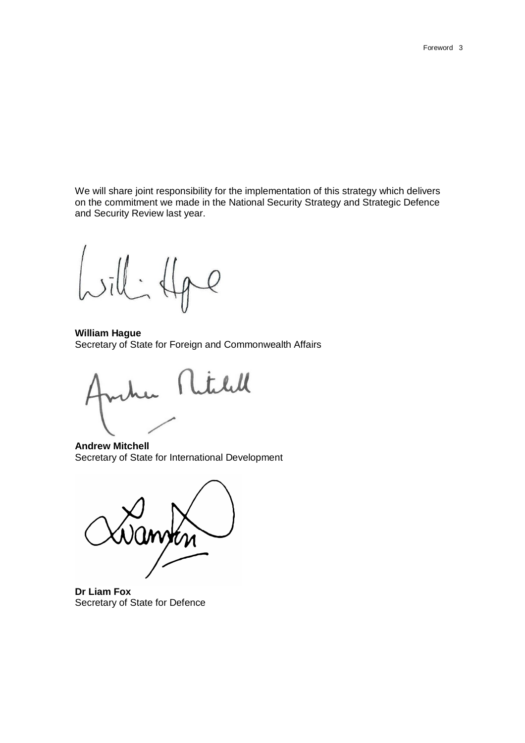We will share joint responsibility for the implementation of this strategy which delivers on the commitment we made in the National Security Strategy and Strategic Defence and Security Review last year.

 $\cdot$  $\mathcal{Q}$ 

**William Hague** Secretary of State for Foreign and Commonwealth Affairs

Rtill

**Andrew Mitchell**  Secretary of State for International Development



**Dr Liam Fox** Secretary of State for Defence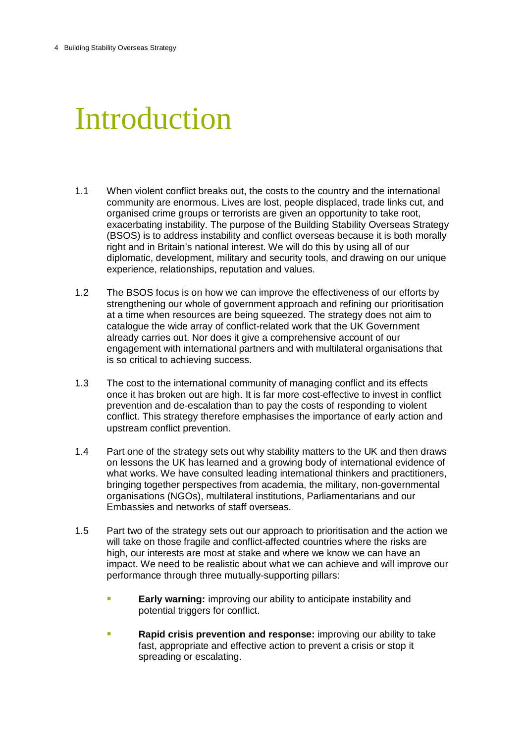# Introduction

- 1.1 When violent conflict breaks out, the costs to the country and the international community are enormous. Lives are lost, people displaced, trade links cut, and organised crime groups or terrorists are given an opportunity to take root, exacerbating instability. The purpose of the Building Stability Overseas Strategy (BSOS) is to address instability and conflict overseas because it is both morally right and in Britain's national interest. We will do this by using all of our diplomatic, development, military and security tools, and drawing on our unique experience, relationships, reputation and values.
- 1.2 The BSOS focus is on how we can improve the effectiveness of our efforts by strengthening our whole of government approach and refining our prioritisation at a time when resources are being squeezed. The strategy does not aim to catalogue the wide array of conflict-related work that the UK Government already carries out. Nor does it give a comprehensive account of our engagement with international partners and with multilateral organisations that is so critical to achieving success.
- 1.3 The cost to the international community of managing conflict and its effects once it has broken out are high. It is far more cost-effective to invest in conflict prevention and de-escalation than to pay the costs of responding to violent conflict. This strategy therefore emphasises the importance of early action and upstream conflict prevention.
- 1.4 Part one of the strategy sets out why stability matters to the UK and then draws on lessons the UK has learned and a growing body of international evidence of what works. We have consulted leading international thinkers and practitioners, bringing together perspectives from academia, the military, non-governmental organisations (NGOs), multilateral institutions, Parliamentarians and our Embassies and networks of staff overseas.
- 1.5 Part two of the strategy sets out our approach to prioritisation and the action we will take on those fragile and conflict-affected countries where the risks are high, our interests are most at stake and where we know we can have an impact. We need to be realistic about what we can achieve and will improve our performance through three mutually-supporting pillars:
	- **Early warning:** improving our ability to anticipate instability and potential triggers for conflict.
	- **Rapid crisis prevention and response:** improving our ability to take fast, appropriate and effective action to prevent a crisis or stop it spreading or escalating.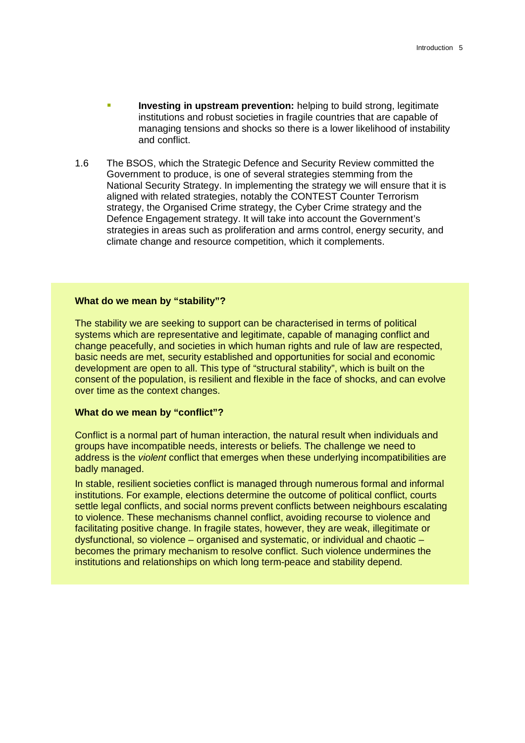- **Investing in upstream prevention:** helping to build strong, legitimate institutions and robust societies in fragile countries that are capable of managing tensions and shocks so there is a lower likelihood of instability and conflict.
- 1.6 The BSOS, which the Strategic Defence and Security Review committed the Government to produce, is one of several strategies stemming from the National Security Strategy. In implementing the strategy we will ensure that it is aligned with related strategies, notably the CONTEST Counter Terrorism strategy, the Organised Crime strategy, the Cyber Crime strategy and the Defence Engagement strategy. It will take into account the Government's strategies in areas such as proliferation and arms control, energy security, and climate change and resource competition, which it complements.

#### **What do we mean by "stability"?**

The stability we are seeking to support can be characterised in terms of political systems which are representative and legitimate, capable of managing conflict and change peacefully, and societies in which human rights and rule of law are respected, basic needs are met, security established and opportunities for social and economic development are open to all. This type of "structural stability", which is built on the consent of the population, is resilient and flexible in the face of shocks, and can evolve over time as the context changes.

#### **What do we mean by "conflict"?**

Conflict is a normal part of human interaction, the natural result when individuals and groups have incompatible needs, interests or beliefs. The challenge we need to address is the *violent* conflict that emerges when these underlying incompatibilities are badly managed.

In stable, resilient societies conflict is managed through numerous formal and informal institutions. For example, elections determine the outcome of political conflict, courts settle legal conflicts, and social norms prevent conflicts between neighbours escalating to violence. These mechanisms channel conflict, avoiding recourse to violence and facilitating positive change. In fragile states, however, they are weak, illegitimate or dysfunctional, so violence – organised and systematic, or individual and chaotic – becomes the primary mechanism to resolve conflict. Such violence undermines the institutions and relationships on which long term-peace and stability depend.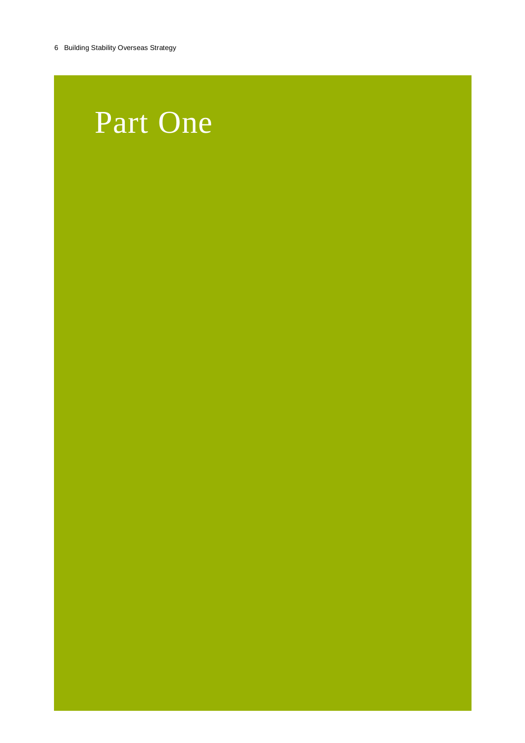### Part One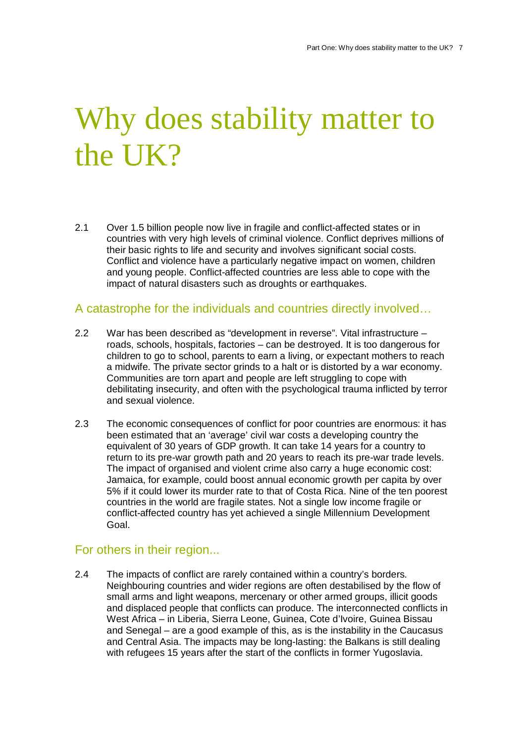# Why does stability matter to the UK?

2.1 Over 1.5 billion people now live in fragile and conflict-affected states or in countries with very high levels of criminal violence. Conflict deprives millions of their basic rights to life and security and involves significant social costs. Conflict and violence have a particularly negative impact on women, children and young people. Conflict-affected countries are less able to cope with the impact of natural disasters such as droughts or earthquakes.

#### A catastrophe for the individuals and countries directly involved…

- 2.2 War has been described as "development in reverse". Vital infrastructure roads, schools, hospitals, factories – can be destroyed. It is too dangerous for children to go to school, parents to earn a living, or expectant mothers to reach a midwife. The private sector grinds to a halt or is distorted by a war economy. Communities are torn apart and people are left struggling to cope with debilitating insecurity, and often with the psychological trauma inflicted by terror and sexual violence.
- 2.3 The economic consequences of conflict for poor countries are enormous: it has been estimated that an 'average' civil war costs a developing country the equivalent of 30 years of GDP growth. It can take 14 years for a country to return to its pre-war growth path and 20 years to reach its pre-war trade levels. The impact of organised and violent crime also carry a huge economic cost: Jamaica, for example, could boost annual economic growth per capita by over 5% if it could lower its murder rate to that of Costa Rica. Nine of the ten poorest countries in the world are fragile states. Not a single low income fragile or conflict-affected country has yet achieved a single Millennium Development Goal.

#### For others in their region...

2.4 The impacts of conflict are rarely contained within a country's borders. Neighbouring countries and wider regions are often destabilised by the flow of small arms and light weapons, mercenary or other armed groups, illicit goods and displaced people that conflicts can produce. The interconnected conflicts in West Africa – in Liberia, Sierra Leone, Guinea, Cote d'Ivoire, Guinea Bissau and Senegal – are a good example of this, as is the instability in the Caucasus and Central Asia. The impacts may be long-lasting: the Balkans is still dealing with refugees 15 years after the start of the conflicts in former Yugoslavia.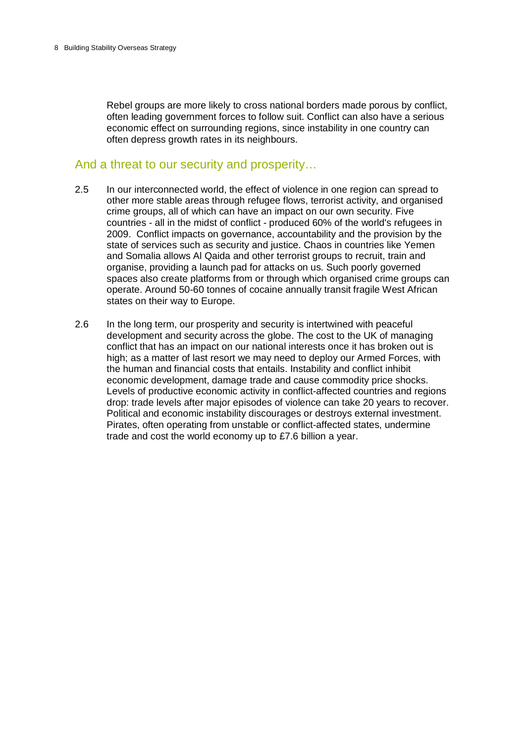Rebel groups are more likely to cross national borders made porous by conflict, often leading government forces to follow suit. Conflict can also have a serious economic effect on surrounding regions, since instability in one country can often depress growth rates in its neighbours.

#### And a threat to our security and prosperity…

- 2.5 In our interconnected world, the effect of violence in one region can spread to other more stable areas through refugee flows, terrorist activity, and organised crime groups, all of which can have an impact on our own security. Five countries - all in the midst of conflict - produced 60% of the world's refugees in 2009. Conflict impacts on governance, accountability and the provision by the state of services such as security and justice. Chaos in countries like Yemen and Somalia allows Al Qaida and other terrorist groups to recruit, train and organise, providing a launch pad for attacks on us. Such poorly governed spaces also create platforms from or through which organised crime groups can operate. Around 50-60 tonnes of cocaine annually transit fragile West African states on their way to Europe.
- 2.6 In the long term, our prosperity and security is intertwined with peaceful development and security across the globe. The cost to the UK of managing conflict that has an impact on our national interests once it has broken out is high; as a matter of last resort we may need to deploy our Armed Forces, with the human and financial costs that entails. Instability and conflict inhibit economic development, damage trade and cause commodity price shocks. Levels of productive economic activity in conflict-affected countries and regions drop: trade levels after major episodes of violence can take 20 years to recover. Political and economic instability discourages or destroys external investment. Pirates, often operating from unstable or conflict-affected states, undermine trade and cost the world economy up to £7.6 billion a year.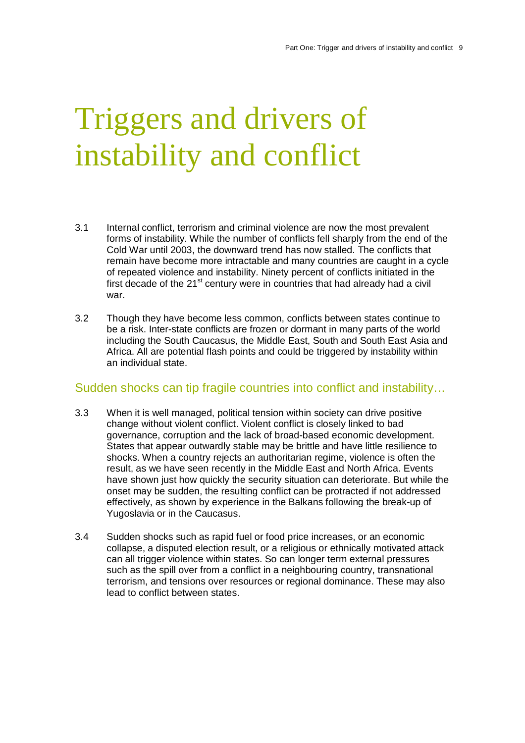# Triggers and drivers of instability and conflict

- 3.1 Internal conflict, terrorism and criminal violence are now the most prevalent forms of instability. While the number of conflicts fell sharply from the end of the Cold War until 2003, the downward trend has now stalled. The conflicts that remain have become more intractable and many countries are caught in a cycle of repeated violence and instability. Ninety percent of conflicts initiated in the first decade of the  $21<sup>st</sup>$  century were in countries that had already had a civil war.
- 3.2 Though they have become less common, conflicts between states continue to be a risk. Inter-state conflicts are frozen or dormant in many parts of the world including the South Caucasus, the Middle East, South and South East Asia and Africa. All are potential flash points and could be triggered by instability within an individual state.

#### Sudden shocks can tip fragile countries into conflict and instability…

- 3.3 When it is well managed, political tension within society can drive positive change without violent conflict. Violent conflict is closely linked to bad governance, corruption and the lack of broad-based economic development. States that appear outwardly stable may be brittle and have little resilience to shocks. When a country rejects an authoritarian regime, violence is often the result, as we have seen recently in the Middle East and North Africa. Events have shown just how quickly the security situation can deteriorate. But while the onset may be sudden, the resulting conflict can be protracted if not addressed effectively, as shown by experience in the Balkans following the break-up of Yugoslavia or in the Caucasus.
- 3.4 Sudden shocks such as rapid fuel or food price increases, or an economic collapse, a disputed election result, or a religious or ethnically motivated attack can all trigger violence within states. So can longer term external pressures such as the spill over from a conflict in a neighbouring country, transnational terrorism, and tensions over resources or regional dominance. These may also lead to conflict between states.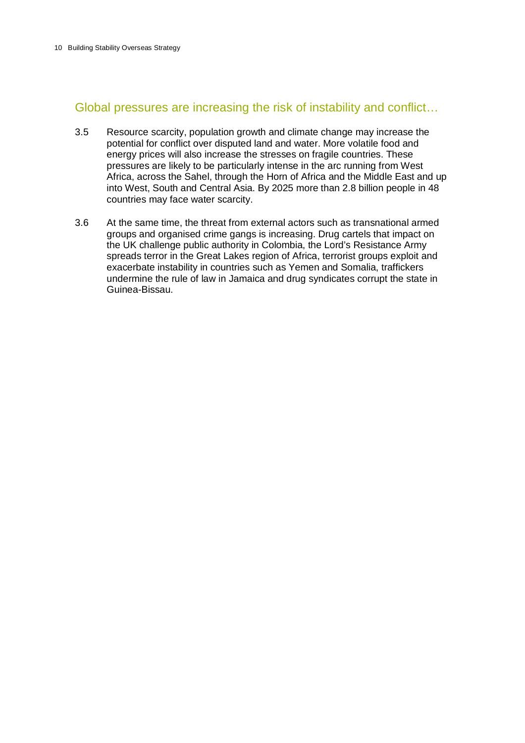#### Global pressures are increasing the risk of instability and conflict…

- 3.5 Resource scarcity, population growth and climate change may increase the potential for conflict over disputed land and water. More volatile food and energy prices will also increase the stresses on fragile countries. These pressures are likely to be particularly intense in the arc running from West Africa, across the Sahel, through the Horn of Africa and the Middle East and up into West, South and Central Asia. By 2025 more than 2.8 billion people in 48 countries may face water scarcity.
- 3.6 At the same time, the threat from external actors such as transnational armed groups and organised crime gangs is increasing. Drug cartels that impact on the UK challenge public authority in Colombia, the Lord's Resistance Army spreads terror in the Great Lakes region of Africa, terrorist groups exploit and exacerbate instability in countries such as Yemen and Somalia, traffickers undermine the rule of law in Jamaica and drug syndicates corrupt the state in Guinea-Bissau.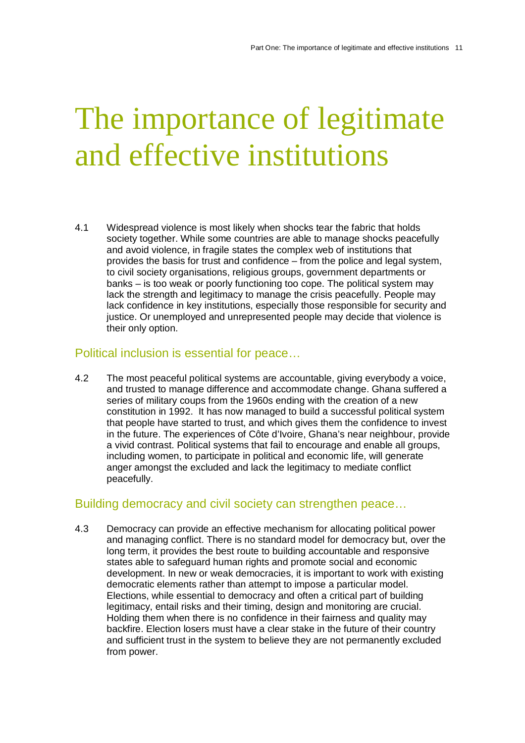## The importance of legitimate and effective institutions

4.1 Widespread violence is most likely when shocks tear the fabric that holds society together. While some countries are able to manage shocks peacefully and avoid violence, in fragile states the complex web of institutions that provides the basis for trust and confidence – from the police and legal system, to civil society organisations, religious groups, government departments or banks – is too weak or poorly functioning too cope. The political system may lack the strength and legitimacy to manage the crisis peacefully. People may lack confidence in key institutions, especially those responsible for security and justice. Or unemployed and unrepresented people may decide that violence is their only option.

#### Political inclusion is essential for peace…

4.2 The most peaceful political systems are accountable, giving everybody a voice, and trusted to manage difference and accommodate change. Ghana suffered a series of military coups from the 1960s ending with the creation of a new constitution in 1992. It has now managed to build a successful political system that people have started to trust, and which gives them the confidence to invest in the future. The experiences of Côte d'Ivoire, Ghana's near neighbour, provide a vivid contrast. Political systems that fail to encourage and enable all groups, including women, to participate in political and economic life, will generate anger amongst the excluded and lack the legitimacy to mediate conflict peacefully.

#### Building democracy and civil society can strengthen peace…

4.3 Democracy can provide an effective mechanism for allocating political power and managing conflict. There is no standard model for democracy but, over the long term, it provides the best route to building accountable and responsive states able to safeguard human rights and promote social and economic development. In new or weak democracies, it is important to work with existing democratic elements rather than attempt to impose a particular model. Elections, while essential to democracy and often a critical part of building legitimacy, entail risks and their timing, design and monitoring are crucial. Holding them when there is no confidence in their fairness and quality may backfire. Election losers must have a clear stake in the future of their country and sufficient trust in the system to believe they are not permanently excluded from power.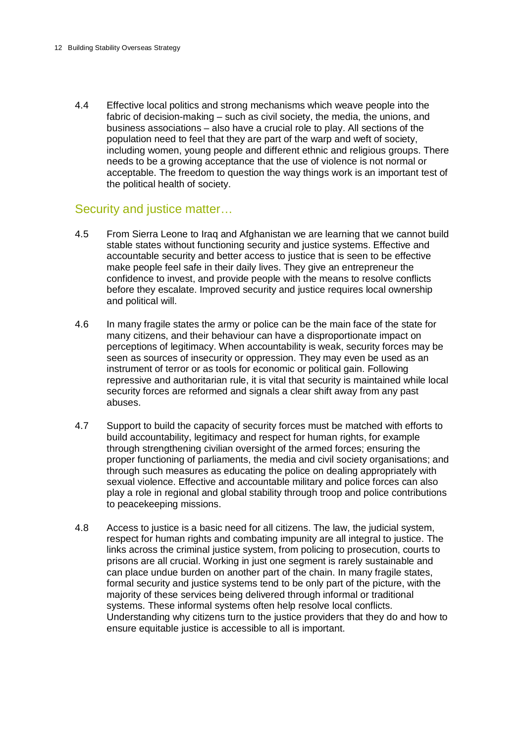4.4 Effective local politics and strong mechanisms which weave people into the fabric of decision-making – such as civil society, the media, the unions, and business associations – also have a crucial role to play. All sections of the population need to feel that they are part of the warp and weft of society, including women, young people and different ethnic and religious groups. There needs to be a growing acceptance that the use of violence is not normal or acceptable. The freedom to question the way things work is an important test of the political health of society.

#### Security and justice matter…

- 4.5 From Sierra Leone to Iraq and Afghanistan we are learning that we cannot build stable states without functioning security and justice systems. Effective and accountable security and better access to justice that is seen to be effective make people feel safe in their daily lives. They give an entrepreneur the confidence to invest, and provide people with the means to resolve conflicts before they escalate. Improved security and justice requires local ownership and political will.
- 4.6 In many fragile states the army or police can be the main face of the state for many citizens, and their behaviour can have a disproportionate impact on perceptions of legitimacy. When accountability is weak, security forces may be seen as sources of insecurity or oppression. They may even be used as an instrument of terror or as tools for economic or political gain. Following repressive and authoritarian rule, it is vital that security is maintained while local security forces are reformed and signals a clear shift away from any past abuses.
- 4.7 Support to build the capacity of security forces must be matched with efforts to build accountability, legitimacy and respect for human rights, for example through strengthening civilian oversight of the armed forces; ensuring the proper functioning of parliaments, the media and civil society organisations; and through such measures as educating the police on dealing appropriately with sexual violence. Effective and accountable military and police forces can also play a role in regional and global stability through troop and police contributions to peacekeeping missions.
- 4.8 Access to justice is a basic need for all citizens. The law, the judicial system, respect for human rights and combating impunity are all integral to justice. The links across the criminal justice system, from policing to prosecution, courts to prisons are all crucial. Working in just one segment is rarely sustainable and can place undue burden on another part of the chain. In many fragile states, formal security and justice systems tend to be only part of the picture, with the majority of these services being delivered through informal or traditional systems. These informal systems often help resolve local conflicts. Understanding why citizens turn to the justice providers that they do and how to ensure equitable justice is accessible to all is important.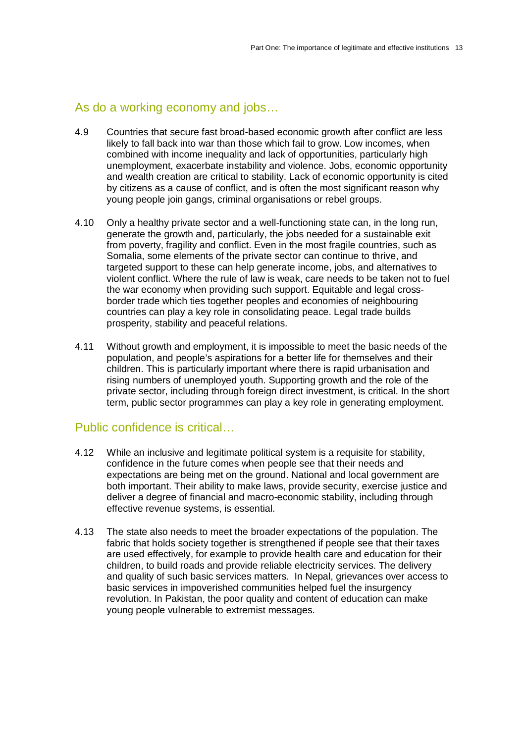#### As do a working economy and jobs…

- 4.9 Countries that secure fast broad-based economic growth after conflict are less likely to fall back into war than those which fail to grow. Low incomes, when combined with income inequality and lack of opportunities, particularly high unemployment, exacerbate instability and violence. Jobs, economic opportunity and wealth creation are critical to stability. Lack of economic opportunity is cited by citizens as a cause of conflict, and is often the most significant reason why young people join gangs, criminal organisations or rebel groups.
- 4.10 Only a healthy private sector and a well-functioning state can, in the long run, generate the growth and, particularly, the jobs needed for a sustainable exit from poverty, fragility and conflict. Even in the most fragile countries, such as Somalia, some elements of the private sector can continue to thrive, and targeted support to these can help generate income, jobs, and alternatives to violent conflict. Where the rule of law is weak, care needs to be taken not to fuel the war economy when providing such support. Equitable and legal crossborder trade which ties together peoples and economies of neighbouring countries can play a key role in consolidating peace. Legal trade builds prosperity, stability and peaceful relations.
- 4.11 Without growth and employment, it is impossible to meet the basic needs of the population, and people's aspirations for a better life for themselves and their children. This is particularly important where there is rapid urbanisation and rising numbers of unemployed youth. Supporting growth and the role of the private sector, including through foreign direct investment, is critical. In the short term, public sector programmes can play a key role in generating employment.

#### Public confidence is critical…

- 4.12 While an inclusive and legitimate political system is a requisite for stability, confidence in the future comes when people see that their needs and expectations are being met on the ground. National and local government are both important. Their ability to make laws, provide security, exercise justice and deliver a degree of financial and macro-economic stability, including through effective revenue systems, is essential.
- 4.13 The state also needs to meet the broader expectations of the population. The fabric that holds society together is strengthened if people see that their taxes are used effectively, for example to provide health care and education for their children, to build roads and provide reliable electricity services. The delivery and quality of such basic services matters. In Nepal, grievances over access to basic services in impoverished communities helped fuel the insurgency revolution. In Pakistan, the poor quality and content of education can make young people vulnerable to extremist messages.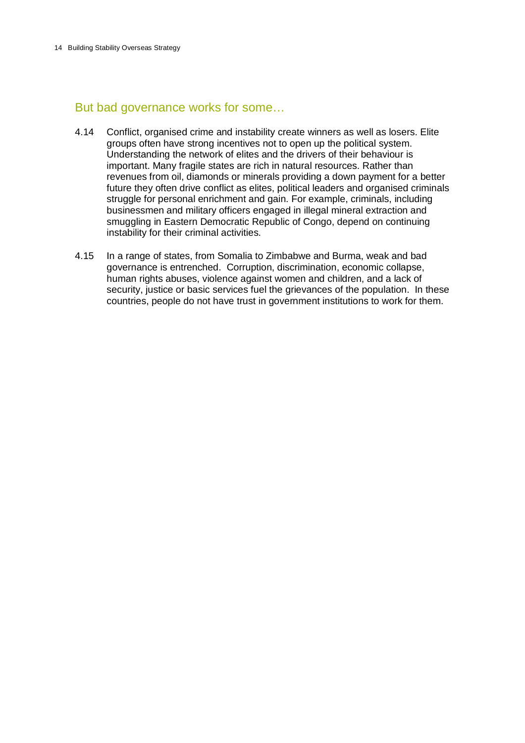#### But bad governance works for some…

- 4.14 Conflict, organised crime and instability create winners as well as losers. Elite groups often have strong incentives not to open up the political system. Understanding the network of elites and the drivers of their behaviour is important. Many fragile states are rich in natural resources. Rather than revenues from oil, diamonds or minerals providing a down payment for a better future they often drive conflict as elites, political leaders and organised criminals struggle for personal enrichment and gain. For example, criminals, including businessmen and military officers engaged in illegal mineral extraction and smuggling in Eastern Democratic Republic of Congo, depend on continuing instability for their criminal activities.
- 4.15 In a range of states, from Somalia to Zimbabwe and Burma, weak and bad governance is entrenched. Corruption, discrimination, economic collapse, human rights abuses, violence against women and children, and a lack of security, justice or basic services fuel the grievances of the population. In these countries, people do not have trust in government institutions to work for them.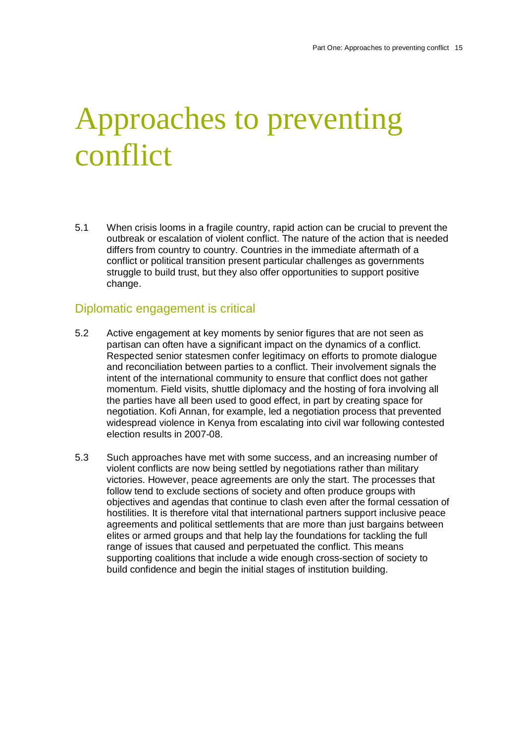# Approaches to preventing conflict

5.1 When crisis looms in a fragile country, rapid action can be crucial to prevent the outbreak or escalation of violent conflict. The nature of the action that is needed differs from country to country. Countries in the immediate aftermath of a conflict or political transition present particular challenges as governments struggle to build trust, but they also offer opportunities to support positive change.

#### Diplomatic engagement is critical

- 5.2 Active engagement at key moments by senior figures that are not seen as partisan can often have a significant impact on the dynamics of a conflict. Respected senior statesmen confer legitimacy on efforts to promote dialogue and reconciliation between parties to a conflict. Their involvement signals the intent of the international community to ensure that conflict does not gather momentum. Field visits, shuttle diplomacy and the hosting of fora involving all the parties have all been used to good effect, in part by creating space for negotiation. Kofi Annan, for example, led a negotiation process that prevented widespread violence in Kenya from escalating into civil war following contested election results in 2007-08.
- 5.3 Such approaches have met with some success, and an increasing number of violent conflicts are now being settled by negotiations rather than military victories. However, peace agreements are only the start. The processes that follow tend to exclude sections of society and often produce groups with objectives and agendas that continue to clash even after the formal cessation of hostilities. It is therefore vital that international partners support inclusive peace agreements and political settlements that are more than just bargains between elites or armed groups and that help lay the foundations for tackling the full range of issues that caused and perpetuated the conflict. This means supporting coalitions that include a wide enough cross-section of society to build confidence and begin the initial stages of institution building.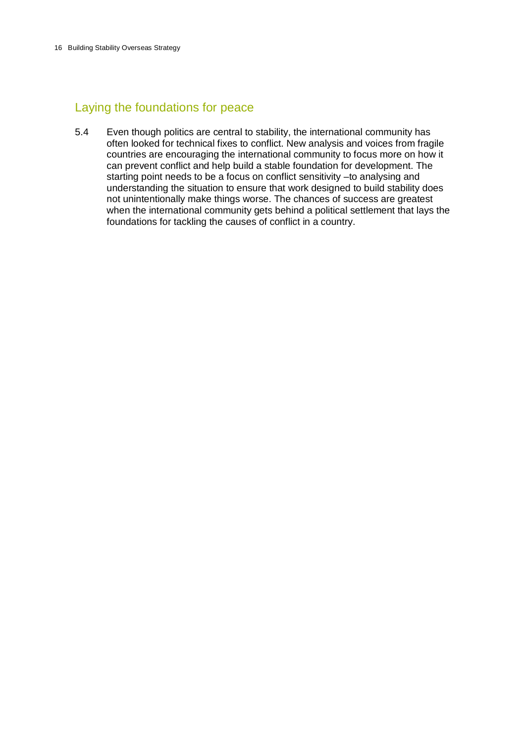### Laying the foundations for peace

5.4 Even though politics are central to stability, the international community has often looked for technical fixes to conflict. New analysis and voices from fragile countries are encouraging the international community to focus more on how it can prevent conflict and help build a stable foundation for development. The starting point needs to be a focus on conflict sensitivity –to analysing and understanding the situation to ensure that work designed to build stability does not unintentionally make things worse. The chances of success are greatest when the international community gets behind a political settlement that lays the foundations for tackling the causes of conflict in a country.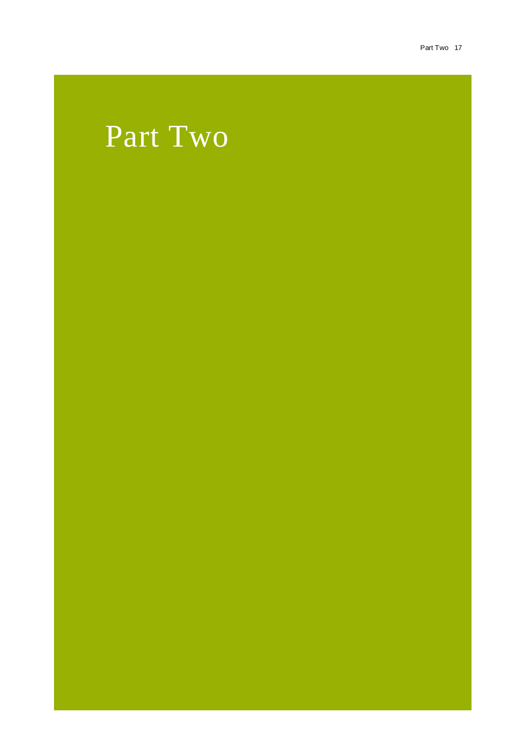### Part Two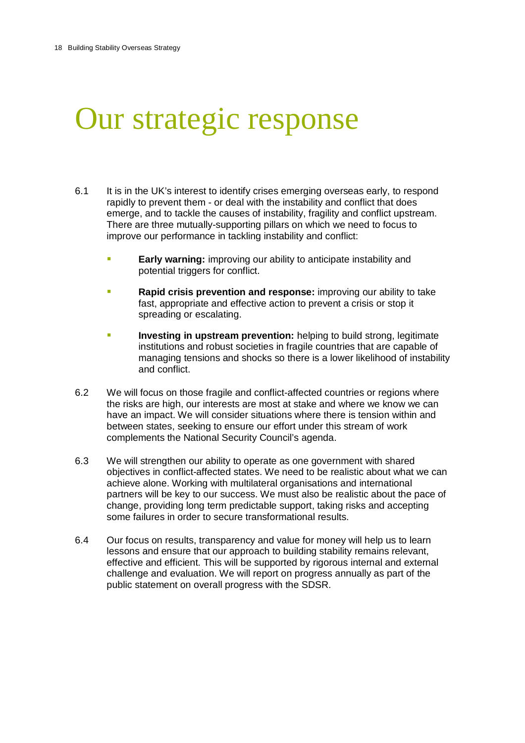## Our strategic response

- 6.1 It is in the UK's interest to identify crises emerging overseas early, to respond rapidly to prevent them - or deal with the instability and conflict that does emerge, and to tackle the causes of instability, fragility and conflict upstream. There are three mutually-supporting pillars on which we need to focus to improve our performance in tackling instability and conflict:
	- **Early warning:** improving our ability to anticipate instability and potential triggers for conflict.
	- **Rapid crisis prevention and response:** improving our ability to take fast, appropriate and effective action to prevent a crisis or stop it spreading or escalating.
	- **Investing in upstream prevention:** helping to build strong, legitimate institutions and robust societies in fragile countries that are capable of managing tensions and shocks so there is a lower likelihood of instability and conflict.
- 6.2 We will focus on those fragile and conflict-affected countries or regions where the risks are high, our interests are most at stake and where we know we can have an impact. We will consider situations where there is tension within and between states, seeking to ensure our effort under this stream of work complements the National Security Council's agenda.
- 6.3 We will strengthen our ability to operate as one government with shared objectives in conflict-affected states. We need to be realistic about what we can achieve alone. Working with multilateral organisations and international partners will be key to our success. We must also be realistic about the pace of change, providing long term predictable support, taking risks and accepting some failures in order to secure transformational results.
- 6.4 Our focus on results, transparency and value for money will help us to learn lessons and ensure that our approach to building stability remains relevant, effective and efficient. This will be supported by rigorous internal and external challenge and evaluation. We will report on progress annually as part of the public statement on overall progress with the SDSR.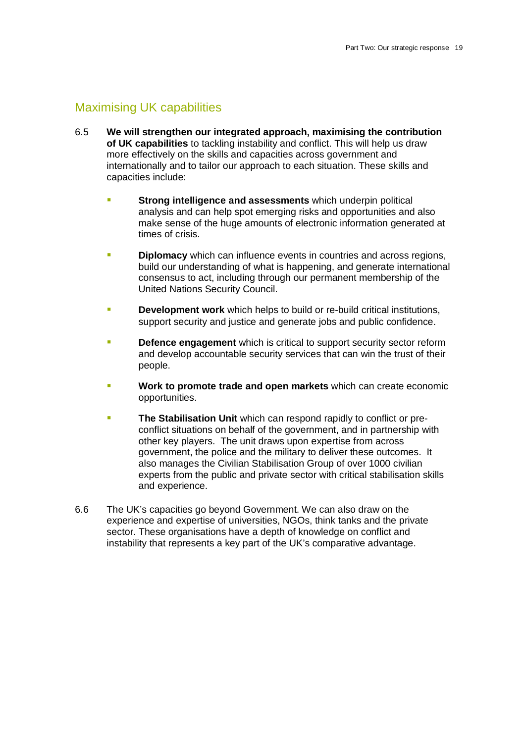### Maximising UK capabilities

- 6.5 **We will strengthen our integrated approach, maximising the contribution of UK capabilities** to tackling instability and conflict. This will help us draw more effectively on the skills and capacities across government and internationally and to tailor our approach to each situation. These skills and capacities include:
	- **Strong intelligence and assessments** which underpin political analysis and can help spot emerging risks and opportunities and also make sense of the huge amounts of electronic information generated at times of crisis.
	- **Diplomacy** which can influence events in countries and across regions, build our understanding of what is happening, and generate international consensus to act, including through our permanent membership of the United Nations Security Council.
	- **Development work** which helps to build or re-build critical institutions, support security and justice and generate jobs and public confidence.
	- **Defence engagement** which is critical to support security sector reform and develop accountable security services that can win the trust of their people.
	- **Work to promote trade and open markets** which can create economic opportunities.
	- **The Stabilisation Unit** which can respond rapidly to conflict or preconflict situations on behalf of the government, and in partnership with other key players. The unit draws upon expertise from across government, the police and the military to deliver these outcomes. It also manages the Civilian Stabilisation Group of over 1000 civilian experts from the public and private sector with critical stabilisation skills and experience.
- 6.6 The UK's capacities go beyond Government. We can also draw on the experience and expertise of universities, NGOs, think tanks and the private sector. These organisations have a depth of knowledge on conflict and instability that represents a key part of the UK's comparative advantage.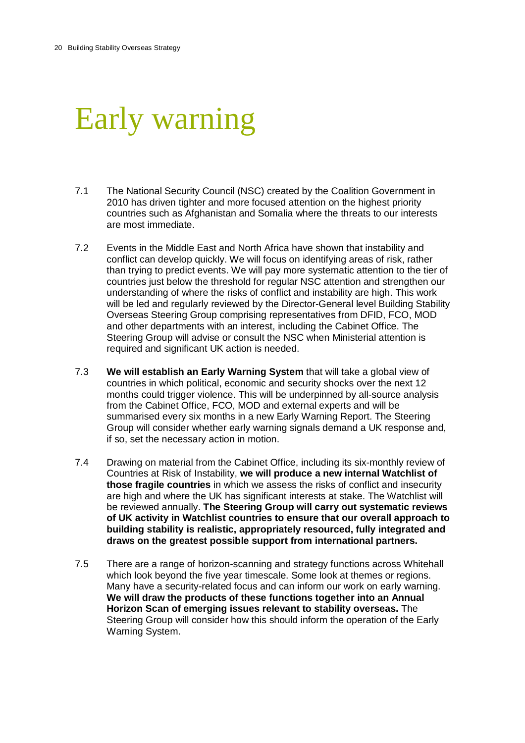## Early warning

- 7.1 The National Security Council (NSC) created by the Coalition Government in 2010 has driven tighter and more focused attention on the highest priority countries such as Afghanistan and Somalia where the threats to our interests are most immediate.
- 7.2 Events in the Middle East and North Africa have shown that instability and conflict can develop quickly. We will focus on identifying areas of risk, rather than trying to predict events. We will pay more systematic attention to the tier of countries just below the threshold for regular NSC attention and strengthen our understanding of where the risks of conflict and instability are high. This work will be led and regularly reviewed by the Director-General level Building Stability Overseas Steering Group comprising representatives from DFID, FCO, MOD and other departments with an interest, including the Cabinet Office. The Steering Group will advise or consult the NSC when Ministerial attention is required and significant UK action is needed.
- 7.3 **We will establish an Early Warning System** that will take a global view of countries in which political, economic and security shocks over the next 12 months could trigger violence. This will be underpinned by all-source analysis from the Cabinet Office, FCO, MOD and external experts and will be summarised every six months in a new Early Warning Report. The Steering Group will consider whether early warning signals demand a UK response and, if so, set the necessary action in motion.
- 7.4 Drawing on material from the Cabinet Office, including its six-monthly review of Countries at Risk of Instability, **we will produce a new internal Watchlist of those fragile countries** in which we assess the risks of conflict and insecurity are high and where the UK has significant interests at stake. The Watchlist will be reviewed annually. **The Steering Group will carry out systematic reviews of UK activity in Watchlist countries to ensure that our overall approach to building stability is realistic, appropriately resourced, fully integrated and draws on the greatest possible support from international partners.**
- 7.5 There are a range of horizon-scanning and strategy functions across Whitehall which look beyond the five year timescale. Some look at themes or regions. Many have a security-related focus and can inform our work on early warning. **We will draw the products of these functions together into an Annual Horizon Scan of emerging issues relevant to stability overseas.** The Steering Group will consider how this should inform the operation of the Early Warning System.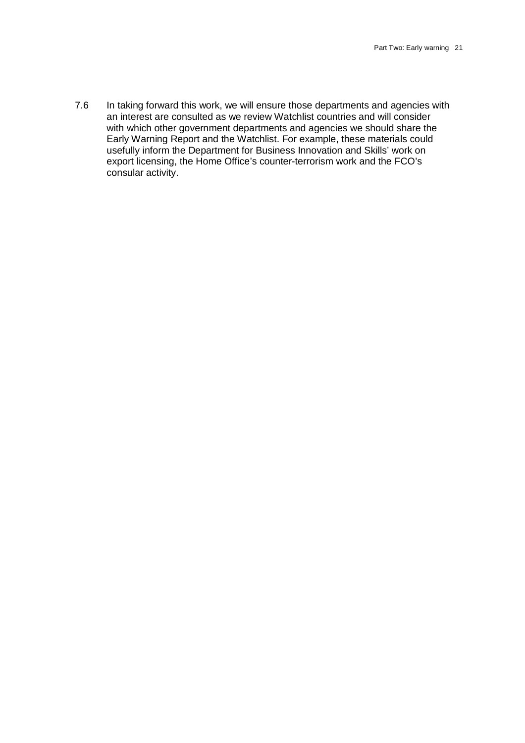7.6 In taking forward this work, we will ensure those departments and agencies with an interest are consulted as we review Watchlist countries and will consider with which other government departments and agencies we should share the Early Warning Report and the Watchlist. For example, these materials could usefully inform the Department for Business Innovation and Skills' work on export licensing, the Home Office's counter-terrorism work and the FCO's consular activity.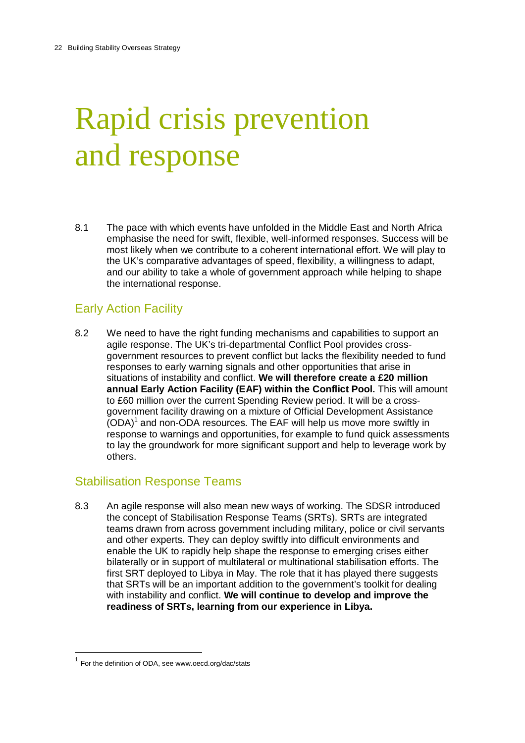# Rapid crisis prevention and response

8.1 The pace with which events have unfolded in the Middle East and North Africa emphasise the need for swift, flexible, well-informed responses. Success will be most likely when we contribute to a coherent international effort. We will play to the UK's comparative advantages of speed, flexibility, a willingness to adapt, and our ability to take a whole of government approach while helping to shape the international response.

### Early Action Facility

8.2 We need to have the right funding mechanisms and capabilities to support an agile response. The UK's tri-departmental Conflict Pool provides crossgovernment resources to prevent conflict but lacks the flexibility needed to fund responses to early warning signals and other opportunities that arise in situations of instability and conflict. **We will therefore create a £20 million annual Early Action Facility (EAF) within the Conflict Pool.** This will amount to £60 million over the current Spending Review period. It will be a crossgovernment facility drawing on a mixture of Official Development Assistance  $(ODA)<sup>1</sup>$  and non-ODA resources. The EAF will help us move more swiftly in response to warnings and opportunities, for example to fund quick assessments to lay the groundwork for more significant support and help to leverage work by others.

#### Stabilisation Response Teams

8.3 An agile response will also mean new ways of working. The SDSR introduced the concept of Stabilisation Response Teams (SRTs). SRTs are integrated teams drawn from across government including military, police or civil servants and other experts. They can deploy swiftly into difficult environments and enable the UK to rapidly help shape the response to emerging crises either bilaterally or in support of multilateral or multinational stabilisation efforts. The first SRT deployed to Libya in May. The role that it has played there suggests that SRTs will be an important addition to the government's toolkit for dealing with instability and conflict. **We will continue to develop and improve the readiness of SRTs, learning from our experience in Libya.**

 $\overline{\phantom{a}}$ 

 $1$  For the definition of ODA, see www.oecd.org/dac/stats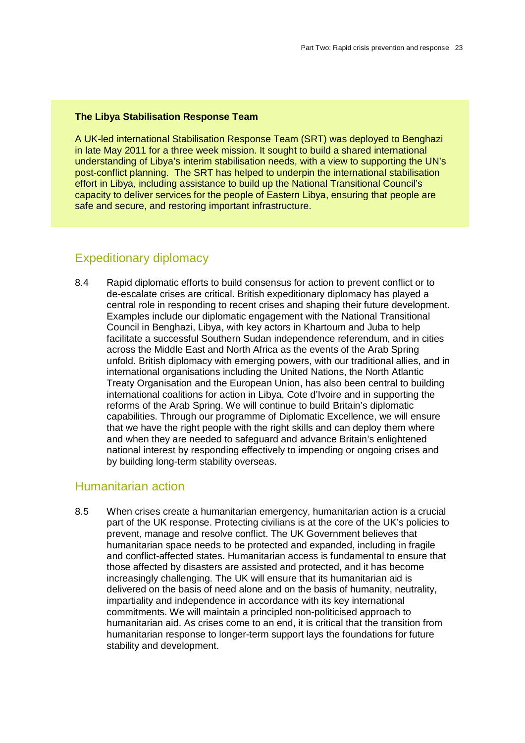#### **The Libya Stabilisation Response Team**

A UK-led international Stabilisation Response Team (SRT) was deployed to Benghazi in late May 2011 for a three week mission. It sought to build a shared international understanding of Libya's interim stabilisation needs, with a view to supporting the UN's post-conflict planning. The SRT has helped to underpin the international stabilisation effort in Libya, including assistance to build up the National Transitional Council's capacity to deliver services for the people of Eastern Libya, ensuring that people are safe and secure, and restoring important infrastructure.

### Expeditionary diplomacy

8.4 Rapid diplomatic efforts to build consensus for action to prevent conflict or to de-escalate crises are critical. British expeditionary diplomacy has played a central role in responding to recent crises and shaping their future development. Examples include our diplomatic engagement with the National Transitional Council in Benghazi, Libya, with key actors in Khartoum and Juba to help facilitate a successful Southern Sudan independence referendum, and in cities across the Middle East and North Africa as the events of the Arab Spring unfold. British diplomacy with emerging powers, with our traditional allies, and in international organisations including the United Nations, the North Atlantic Treaty Organisation and the European Union, has also been central to building international coalitions for action in Libya, Cote d'Ivoire and in supporting the reforms of the Arab Spring. We will continue to build Britain's diplomatic capabilities. Through our programme of Diplomatic Excellence, we will ensure that we have the right people with the right skills and can deploy them where and when they are needed to safeguard and advance Britain's enlightened national interest by responding effectively to impending or ongoing crises and by building long-term stability overseas.

#### Humanitarian action

8.5 When crises create a humanitarian emergency, humanitarian action is a crucial part of the UK response. Protecting civilians is at the core of the UK's policies to prevent, manage and resolve conflict. The UK Government believes that humanitarian space needs to be protected and expanded, including in fragile and conflict-affected states. Humanitarian access is fundamental to ensure that those affected by disasters are assisted and protected, and it has become increasingly challenging. The UK will ensure that its humanitarian aid is delivered on the basis of need alone and on the basis of humanity, neutrality, impartiality and independence in accordance with its key international commitments. We will maintain a principled non-politicised approach to humanitarian aid. As crises come to an end, it is critical that the transition from humanitarian response to longer-term support lays the foundations for future stability and development.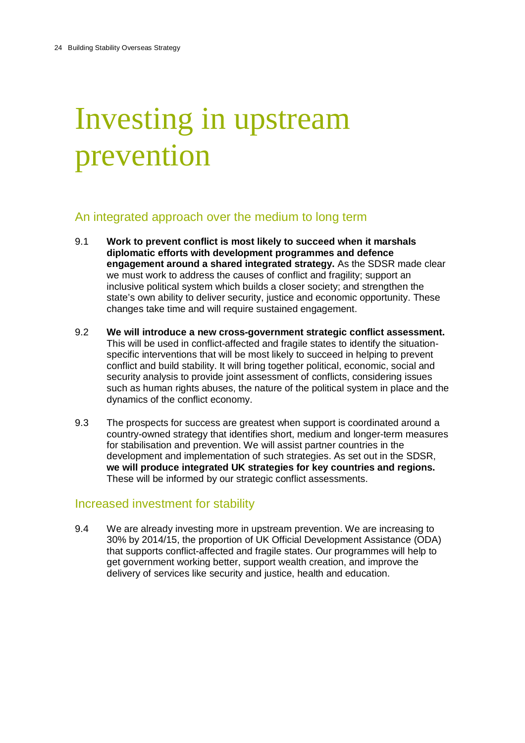# Investing in upstream prevention

### An integrated approach over the medium to long term

- 9.1 **Work to prevent conflict is most likely to succeed when it marshals diplomatic efforts with development programmes and defence engagement around a shared integrated strategy.** As the SDSR made clear we must work to address the causes of conflict and fragility; support an inclusive political system which builds a closer society; and strengthen the state's own ability to deliver security, justice and economic opportunity. These changes take time and will require sustained engagement.
- 9.2 **We will introduce a new cross-government strategic conflict assessment.** This will be used in conflict-affected and fragile states to identify the situationspecific interventions that will be most likely to succeed in helping to prevent conflict and build stability. It will bring together political, economic, social and security analysis to provide joint assessment of conflicts, considering issues such as human rights abuses, the nature of the political system in place and the dynamics of the conflict economy.
- 9.3 The prospects for success are greatest when support is coordinated around a country-owned strategy that identifies short, medium and longer-term measures for stabilisation and prevention. We will assist partner countries in the development and implementation of such strategies. As set out in the SDSR, **we will produce integrated UK strategies for key countries and regions.** These will be informed by our strategic conflict assessments.

#### Increased investment for stability

9.4 We are already investing more in upstream prevention. We are increasing to 30% by 2014/15, the proportion of UK Official Development Assistance (ODA) that supports conflict-affected and fragile states. Our programmes will help to get government working better, support wealth creation, and improve the delivery of services like security and justice, health and education.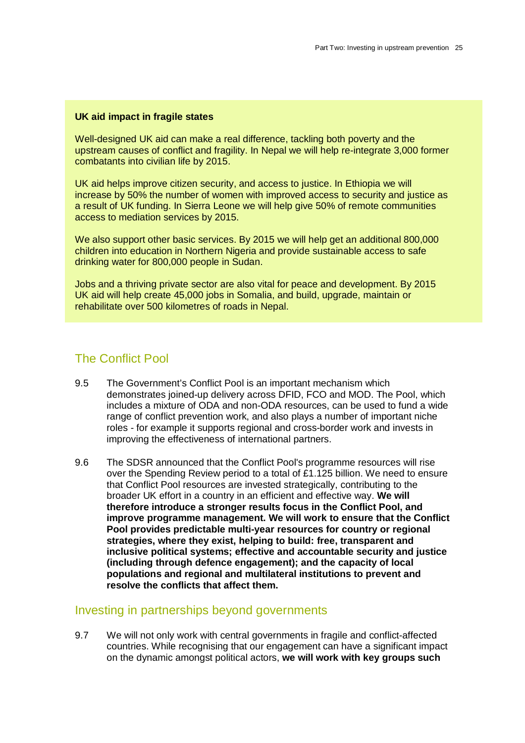#### **UK aid impact in fragile states**

Well-designed UK aid can make a real difference, tackling both poverty and the upstream causes of conflict and fragility. In Nepal we will help re-integrate 3,000 former combatants into civilian life by 2015.

UK aid helps improve citizen security, and access to justice. In Ethiopia we will increase by 50% the number of women with improved access to security and justice as a result of UK funding. In Sierra Leone we will help give 50% of remote communities access to mediation services by 2015.

We also support other basic services. By 2015 we will help get an additional 800,000 children into education in Northern Nigeria and provide sustainable access to safe drinking water for 800,000 people in Sudan.

Jobs and a thriving private sector are also vital for peace and development. By 2015 UK aid will help create 45,000 jobs in Somalia, and build, upgrade, maintain or rehabilitate over 500 kilometres of roads in Nepal.

#### The Conflict Pool

- 9.5 The Government's Conflict Pool is an important mechanism which demonstrates joined-up delivery across DFID, FCO and MOD. The Pool, which includes a mixture of ODA and non-ODA resources, can be used to fund a wide range of conflict prevention work, and also plays a number of important niche roles - for example it supports regional and cross-border work and invests in improving the effectiveness of international partners.
- 9.6 The SDSR announced that the Conflict Pool's programme resources will rise over the Spending Review period to a total of £1.125 billion. We need to ensure that Conflict Pool resources are invested strategically, contributing to the broader UK effort in a country in an efficient and effective way. **We will therefore introduce a stronger results focus in the Conflict Pool, and improve programme management. We will work to ensure that the Conflict Pool provides predictable multi-year resources for country or regional strategies, where they exist, helping to build: free, transparent and inclusive political systems; effective and accountable security and justice (including through defence engagement); and the capacity of local populations and regional and multilateral institutions to prevent and resolve the conflicts that affect them.**

#### Investing in partnerships beyond governments

9.7 We will not only work with central governments in fragile and conflict-affected countries. While recognising that our engagement can have a significant impact on the dynamic amongst political actors, **we will work with key groups such**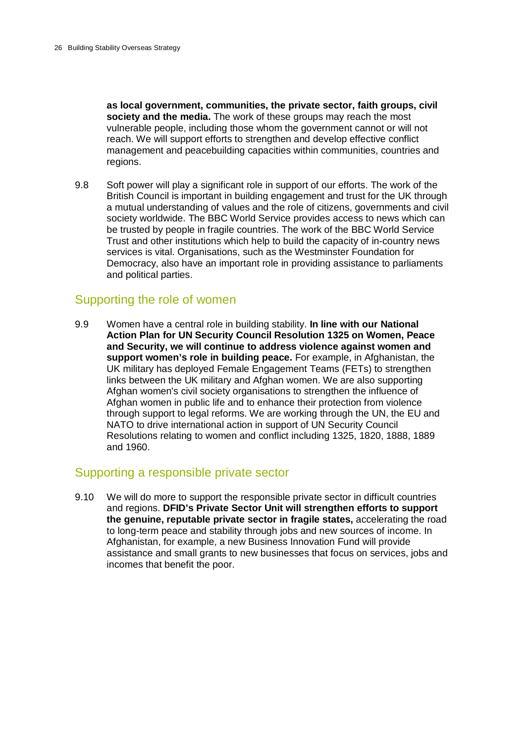**as local government, communities, the private sector, faith groups, civil society and the media.** The work of these groups may reach the most vulnerable people, including those whom the government cannot or will not reach. We will support efforts to strengthen and develop effective conflict management and peacebuilding capacities within communities, countries and regions.

9.8 Soft power will play a significant role in support of our efforts. The work of the British Council is important in building engagement and trust for the UK through a mutual understanding of values and the role of citizens, governments and civil society worldwide. The BBC World Service provides access to news which can be trusted by people in fragile countries. The work of the BBC World Service Trust and other institutions which help to build the capacity of in-country news services is vital. Organisations, such as the Westminster Foundation for Democracy, also have an important role in providing assistance to parliaments and political parties.

#### Supporting the role of women

9.9 Women have a central role in building stability. **In line with our National Action Plan for UN Security Council Resolution 1325 on Women, Peace and Security, we will continue to address violence against women and support women's role in building peace.** For example, in Afghanistan, the UK military has deployed Female Engagement Teams (FETs) to strengthen links between the UK military and Afghan women. We are also supporting Afghan women's civil society organisations to strengthen the influence of Afghan women in public life and to enhance their protection from violence through support to legal reforms. We are working through the UN, the EU and NATO to drive international action in support of UN Security Council Resolutions relating to women and conflict including 1325, 1820, 1888, 1889 and 1960.

#### Supporting a responsible private sector

9.10 We will do more to support the responsible private sector in difficult countries and regions. **DFID's Private Sector Unit will strengthen efforts to support the genuine, reputable private sector in fragile states,** accelerating the road to long-term peace and stability through jobs and new sources of income. In Afghanistan, for example, a new Business Innovation Fund will provide assistance and small grants to new businesses that focus on services, jobs and incomes that benefit the poor.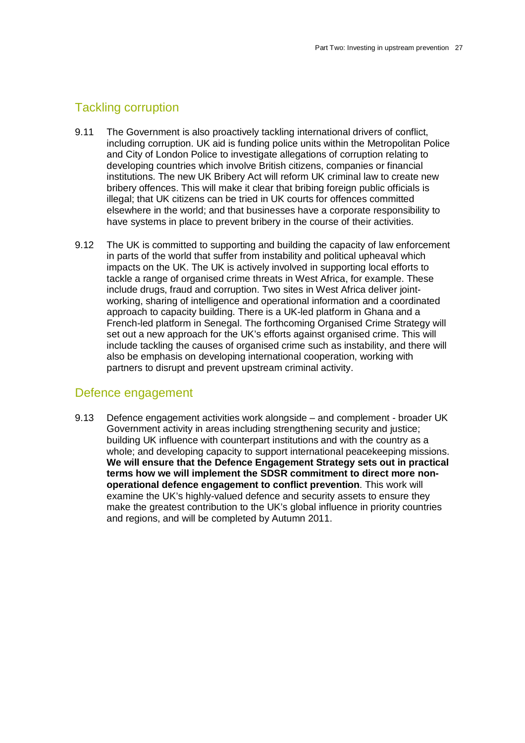### Tackling corruption

- 9.11 The Government is also proactively tackling international drivers of conflict, including corruption. UK aid is funding police units within the Metropolitan Police and City of London Police to investigate allegations of corruption relating to developing countries which involve British citizens, companies or financial institutions. The new UK Bribery Act will reform UK criminal law to create new bribery offences. This will make it clear that bribing foreign public officials is illegal; that UK citizens can be tried in UK courts for offences committed elsewhere in the world; and that businesses have a corporate responsibility to have systems in place to prevent bribery in the course of their activities.
- 9.12 The UK is committed to supporting and building the capacity of law enforcement in parts of the world that suffer from instability and political upheaval which impacts on the UK. The UK is actively involved in supporting local efforts to tackle a range of organised crime threats in West Africa, for example. These include drugs, fraud and corruption. Two sites in West Africa deliver jointworking, sharing of intelligence and operational information and a coordinated approach to capacity building. There is a UK-led platform in Ghana and a French-led platform in Senegal. The forthcoming Organised Crime Strategy will set out a new approach for the UK's efforts against organised crime. This will include tackling the causes of organised crime such as instability, and there will also be emphasis on developing international cooperation, working with partners to disrupt and prevent upstream criminal activity.

#### Defence engagement

9.13 Defence engagement activities work alongside – and complement - broader UK Government activity in areas including strengthening security and justice; building UK influence with counterpart institutions and with the country as a whole; and developing capacity to support international peacekeeping missions. **We will ensure that the Defence Engagement Strategy sets out in practical terms how we will implement the SDSR commitment to direct more nonoperational defence engagement to conflict prevention**. This work will examine the UK's highly-valued defence and security assets to ensure they make the greatest contribution to the UK's global influence in priority countries and regions, and will be completed by Autumn 2011.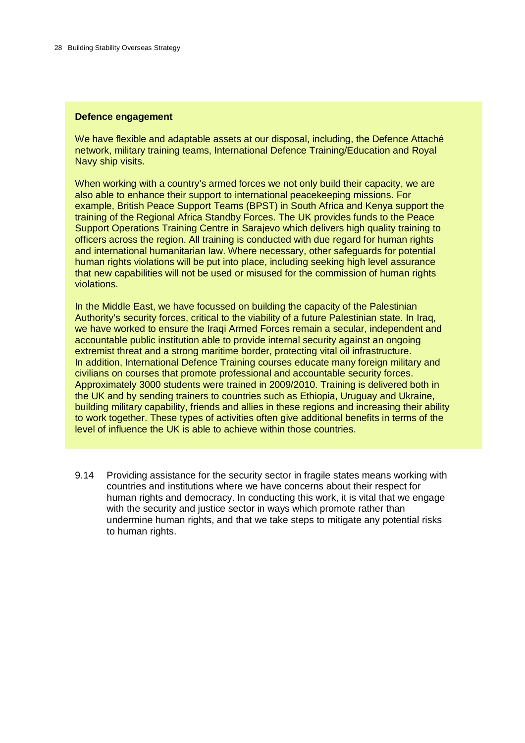#### **Defence engagement**

We have flexible and adaptable assets at our disposal, including, the Defence Attaché network, military training teams, International Defence Training/Education and Royal Navy ship visits.

When working with a country's armed forces we not only build their capacity, we are also able to enhance their support to international peacekeeping missions. For example, British Peace Support Teams (BPST) in South Africa and Kenya support the training of the Regional Africa Standby Forces. The UK provides funds to the Peace Support Operations Training Centre in Sarajevo which delivers high quality training to officers across the region. All training is conducted with due regard for human rights and international humanitarian law. Where necessary, other safeguards for potential human rights violations will be put into place, including seeking high level assurance that new capabilities will not be used or misused for the commission of human rights violations.

In the Middle East, we have focussed on building the capacity of the Palestinian Authority's security forces, critical to the viability of a future Palestinian state. In Iraq, we have worked to ensure the Iraqi Armed Forces remain a secular, independent and accountable public institution able to provide internal security against an ongoing extremist threat and a strong maritime border, protecting vital oil infrastructure. In addition, International Defence Training courses educate many foreign military and civilians on courses that promote professional and accountable security forces. Approximately 3000 students were trained in 2009/2010. Training is delivered both in the UK and by sending trainers to countries such as Ethiopia, Uruguay and Ukraine, building military capability, friends and allies in these regions and increasing their ability to work together. These types of activities often give additional benefits in terms of the level of influence the UK is able to achieve within those countries.

9.14 Providing assistance for the security sector in fragile states means working with countries and institutions where we have concerns about their respect for human rights and democracy. In conducting this work, it is vital that we engage with the security and justice sector in ways which promote rather than undermine human rights, and that we take steps to mitigate any potential risks to human rights.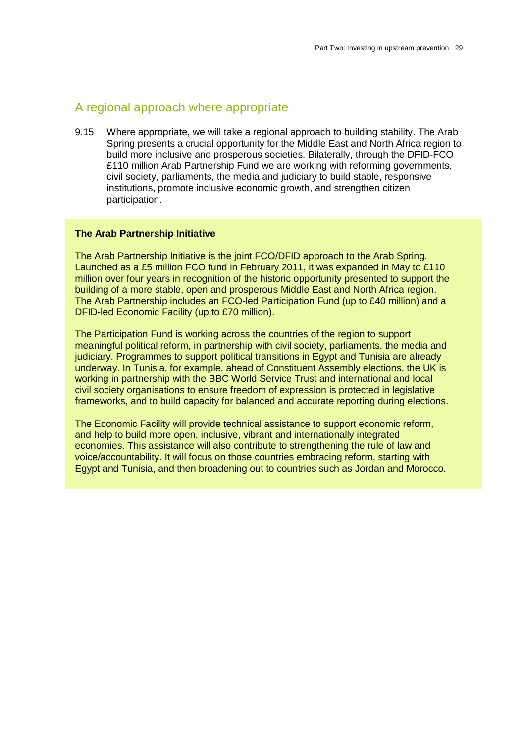#### A regional approach where appropriate

9.15 Where appropriate, we will take a regional approach to building stability. The Arab Spring presents a crucial opportunity for the Middle East and North Africa region to build more inclusive and prosperous societies. Bilaterally, through the DFID-FCO £110 million Arab Partnership Fund we are working with reforming governments, civil society, parliaments, the media and judiciary to build stable, responsive institutions, promote inclusive economic growth, and strengthen citizen participation.

#### **The Arab Partnership Initiative**

The Arab Partnership Initiative is the joint FCO/DFID approach to the Arab Spring. Launched as a £5 million FCO fund in February 2011, it was expanded in May to £110 million over four years in recognition of the historic opportunity presented to support the building of a more stable, open and prosperous Middle East and North Africa region. The Arab Partnership includes an FCO-led Participation Fund (up to £40 million) and a DFID-led Economic Facility (up to £70 million).

The Participation Fund is working across the countries of the region to support meaningful political reform, in partnership with civil society, parliaments, the media and judiciary. Programmes to support political transitions in Egypt and Tunisia are already underway. In Tunisia, for example, ahead of Constituent Assembly elections, the UK is working in partnership with the BBC World Service Trust and international and local civil society organisations to ensure freedom of expression is protected in legislative frameworks, and to build capacity for balanced and accurate reporting during elections.

The Economic Facility will provide technical assistance to support economic reform, and help to build more open, inclusive, vibrant and internationally integrated economies. This assistance will also contribute to strengthening the rule of law and voice/accountability. It will focus on those countries embracing reform, starting with Egypt and Tunisia, and then broadening out to countries such as Jordan and Morocco.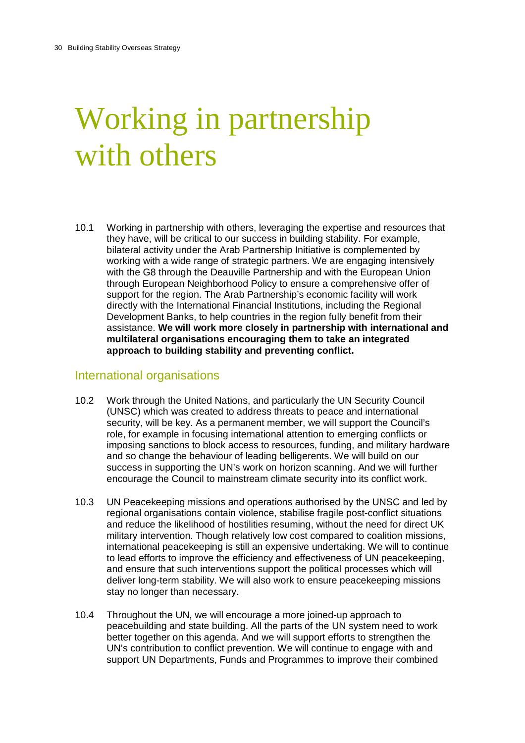# Working in partnership with others

10.1 Working in partnership with others, leveraging the expertise and resources that they have, will be critical to our success in building stability. For example, bilateral activity under the Arab Partnership Initiative is complemented by working with a wide range of strategic partners. We are engaging intensively with the G8 through the Deauville Partnership and with the European Union through European Neighborhood Policy to ensure a comprehensive offer of support for the region. The Arab Partnership's economic facility will work directly with the International Financial Institutions, including the Regional Development Banks, to help countries in the region fully benefit from their assistance. **We will work more closely in partnership with international and multilateral organisations encouraging them to take an integrated approach to building stability and preventing conflict.**

#### International organisations

- 10.2 Work through the United Nations, and particularly the UN Security Council (UNSC) which was created to address threats to peace and international security, will be key. As a permanent member, we will support the Council's role, for example in focusing international attention to emerging conflicts or imposing sanctions to block access to resources, funding, and military hardware and so change the behaviour of leading belligerents. We will build on our success in supporting the UN's work on horizon scanning. And we will further encourage the Council to mainstream climate security into its conflict work.
- 10.3 UN Peacekeeping missions and operations authorised by the UNSC and led by regional organisations contain violence, stabilise fragile post-conflict situations and reduce the likelihood of hostilities resuming, without the need for direct UK military intervention. Though relatively low cost compared to coalition missions, international peacekeeping is still an expensive undertaking. We will to continue to lead efforts to improve the efficiency and effectiveness of UN peacekeeping, and ensure that such interventions support the political processes which will deliver long-term stability. We will also work to ensure peacekeeping missions stay no longer than necessary.
- 10.4 Throughout the UN, we will encourage a more joined-up approach to peacebuilding and state building. All the parts of the UN system need to work better together on this agenda. And we will support efforts to strengthen the UN's contribution to conflict prevention. We will continue to engage with and support UN Departments, Funds and Programmes to improve their combined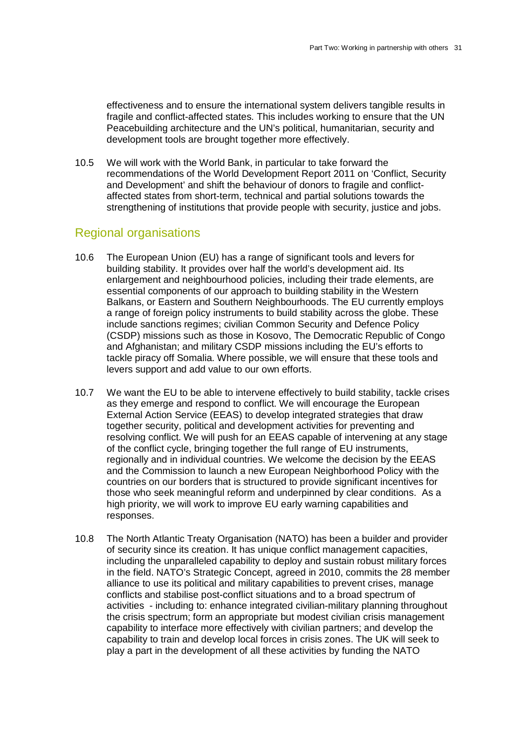effectiveness and to ensure the international system delivers tangible results in fragile and conflict-affected states. This includes working to ensure that the UN Peacebuilding architecture and the UN's political, humanitarian, security and development tools are brought together more effectively.

10.5 We will work with the World Bank, in particular to take forward the recommendations of the World Development Report 2011 on 'Conflict, Security and Development' and shift the behaviour of donors to fragile and conflictaffected states from short-term, technical and partial solutions towards the strengthening of institutions that provide people with security, justice and jobs.

#### Regional organisations

- 10.6 The European Union (EU) has a range of significant tools and levers for building stability. It provides over half the world's development aid. Its enlargement and neighbourhood policies, including their trade elements, are essential components of our approach to building stability in the Western Balkans, or Eastern and Southern Neighbourhoods. The EU currently employs a range of foreign policy instruments to build stability across the globe. These include sanctions regimes; civilian Common Security and Defence Policy (CSDP) missions such as those in Kosovo, The Democratic Republic of Congo and Afghanistan; and military CSDP missions including the EU's efforts to tackle piracy off Somalia. Where possible, we will ensure that these tools and levers support and add value to our own efforts.
- 10.7 We want the EU to be able to intervene effectively to build stability, tackle crises as they emerge and respond to conflict. We will encourage the European External Action Service (EEAS) to develop integrated strategies that draw together security, political and development activities for preventing and resolving conflict. We will push for an EEAS capable of intervening at any stage of the conflict cycle, bringing together the full range of EU instruments, regionally and in individual countries. We welcome the decision by the EEAS and the Commission to launch a new European Neighborhood Policy with the countries on our borders that is structured to provide significant incentives for those who seek meaningful reform and underpinned by clear conditions. As a high priority, we will work to improve EU early warning capabilities and responses.
- 10.8 The North Atlantic Treaty Organisation (NATO) has been a builder and provider of security since its creation. It has unique conflict management capacities, including the unparalleled capability to deploy and sustain robust military forces in the field. NATO's Strategic Concept, agreed in 2010, commits the 28 member alliance to use its political and military capabilities to prevent crises, manage conflicts and stabilise post-conflict situations and to a broad spectrum of activities - including to: enhance integrated civilian-military planning throughout the crisis spectrum; form an appropriate but modest civilian crisis management capability to interface more effectively with civilian partners; and develop the capability to train and develop local forces in crisis zones. The UK will seek to play a part in the development of all these activities by funding the NATO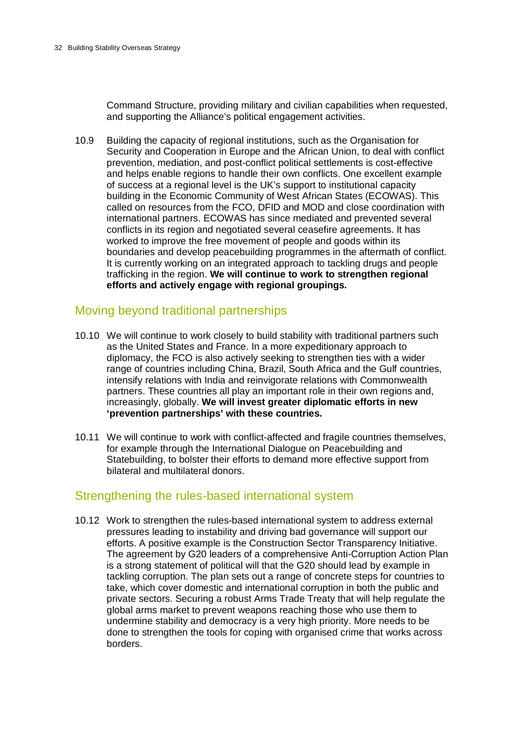Command Structure, providing military and civilian capabilities when requested, and supporting the Alliance's political engagement activities.

10.9 Building the capacity of regional institutions, such as the Organisation for Security and Cooperation in Europe and the African Union, to deal with conflict prevention, mediation, and post-conflict political settlements is cost-effective and helps enable regions to handle their own conflicts. One excellent example of success at a regional level is the UK's support to institutional capacity building in the Economic Community of West African States (ECOWAS). This called on resources from the FCO, DFID and MOD and close coordination with international partners. ECOWAS has since mediated and prevented several conflicts in its region and negotiated several ceasefire agreements. It has worked to improve the free movement of people and goods within its boundaries and develop peacebuilding programmes in the aftermath of conflict. It is currently working on an integrated approach to tackling drugs and people trafficking in the region. **We will continue to work to strengthen regional efforts and actively engage with regional groupings.**

#### Moving beyond traditional partnerships

- 10.10 We will continue to work closely to build stability with traditional partners such as the United States and France. In a more expeditionary approach to diplomacy, the FCO is also actively seeking to strengthen ties with a wider range of countries including China, Brazil, South Africa and the Gulf countries, intensify relations with India and reinvigorate relations with Commonwealth partners. These countries all play an important role in their own regions and, increasingly, globally. **We will invest greater diplomatic efforts in new 'prevention partnerships' with these countries.**
- 10.11 We will continue to work with conflict-affected and fragile countries themselves, for example through the International Dialogue on Peacebuilding and Statebuilding, to bolster their efforts to demand more effective support from bilateral and multilateral donors.

#### Strengthening the rules-based international system

10.12 Work to strengthen the rules-based international system to address external pressures leading to instability and driving bad governance will support our efforts. A positive example is the Construction Sector Transparency Initiative. The agreement by G20 leaders of a comprehensive Anti-Corruption Action Plan is a strong statement of political will that the G20 should lead by example in tackling corruption. The plan sets out a range of concrete steps for countries to take, which cover domestic and international corruption in both the public and private sectors. Securing a robust Arms Trade Treaty that will help regulate the global arms market to prevent weapons reaching those who use them to undermine stability and democracy is a very high priority. More needs to be done to strengthen the tools for coping with organised crime that works across borders.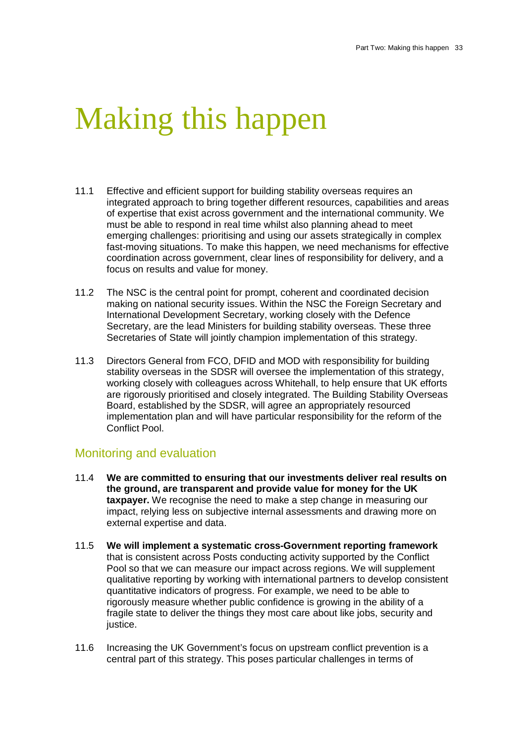### Making this happen

- 11.1 Effective and efficient support for building stability overseas requires an integrated approach to bring together different resources, capabilities and areas of expertise that exist across government and the international community. We must be able to respond in real time whilst also planning ahead to meet emerging challenges: prioritising and using our assets strategically in complex fast-moving situations. To make this happen, we need mechanisms for effective coordination across government, clear lines of responsibility for delivery, and a focus on results and value for money.
- 11.2 The NSC is the central point for prompt, coherent and coordinated decision making on national security issues. Within the NSC the Foreign Secretary and International Development Secretary, working closely with the Defence Secretary, are the lead Ministers for building stability overseas. These three Secretaries of State will jointly champion implementation of this strategy.
- 11.3 Directors General from FCO, DFID and MOD with responsibility for building stability overseas in the SDSR will oversee the implementation of this strategy, working closely with colleagues across Whitehall, to help ensure that UK efforts are rigorously prioritised and closely integrated. The Building Stability Overseas Board, established by the SDSR, will agree an appropriately resourced implementation plan and will have particular responsibility for the reform of the Conflict Pool.

#### Monitoring and evaluation

- 11.4 **We are committed to ensuring that our investments deliver real results on the ground, are transparent and provide value for money for the UK taxpayer.** We recognise the need to make a step change in measuring our impact, relying less on subjective internal assessments and drawing more on external expertise and data.
- 11.5 **We will implement a systematic cross-Government reporting framework** that is consistent across Posts conducting activity supported by the Conflict Pool so that we can measure our impact across regions. We will supplement qualitative reporting by working with international partners to develop consistent quantitative indicators of progress. For example, we need to be able to rigorously measure whether public confidence is growing in the ability of a fragile state to deliver the things they most care about like jobs, security and justice.
- 11.6 Increasing the UK Government's focus on upstream conflict prevention is a central part of this strategy. This poses particular challenges in terms of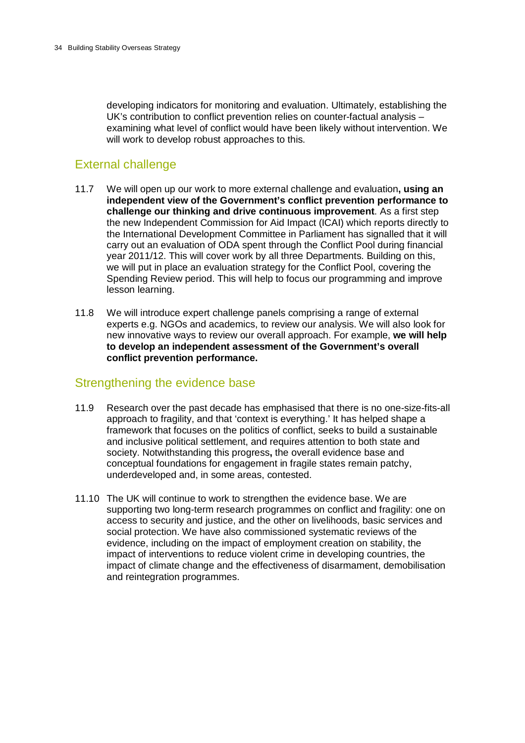developing indicators for monitoring and evaluation. Ultimately, establishing the UK's contribution to conflict prevention relies on counter-factual analysis – examining what level of conflict would have been likely without intervention. We will work to develop robust approaches to this.

### External challenge

- 11.7 We will open up our work to more external challenge and evaluation**, using an independent view of the Government's conflict prevention performance to challenge our thinking and drive continuous improvement**. As a first step the new Independent Commission for Aid Impact (ICAI) which reports directly to the International Development Committee in Parliament has signalled that it will carry out an evaluation of ODA spent through the Conflict Pool during financial year 2011/12. This will cover work by all three Departments. Building on this, we will put in place an evaluation strategy for the Conflict Pool, covering the Spending Review period. This will help to focus our programming and improve lesson learning.
- 11.8 We will introduce expert challenge panels comprising a range of external experts e.g. NGOs and academics, to review our analysis. We will also look for new innovative ways to review our overall approach. For example, **we will help to develop an independent assessment of the Government's overall conflict prevention performance.**

#### Strengthening the evidence base

- 11.9 Research over the past decade has emphasised that there is no one-size-fits-all approach to fragility, and that 'context is everything.' It has helped shape a framework that focuses on the politics of conflict, seeks to build a sustainable and inclusive political settlement, and requires attention to both state and society. Notwithstanding this progress**,** the overall evidence base and conceptual foundations for engagement in fragile states remain patchy, underdeveloped and, in some areas, contested.
- 11.10 The UK will continue to work to strengthen the evidence base. We are supporting two long-term research programmes on conflict and fragility: one on access to security and justice, and the other on livelihoods, basic services and social protection. We have also commissioned systematic reviews of the evidence, including on the impact of employment creation on stability, the impact of interventions to reduce violent crime in developing countries, the impact of climate change and the effectiveness of disarmament, demobilisation and reintegration programmes.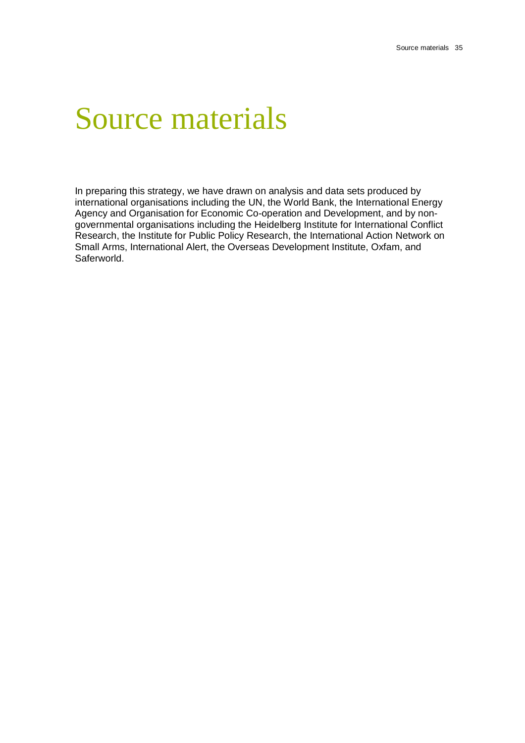### Source materials

In preparing this strategy, we have drawn on analysis and data sets produced by international organisations including the UN, the World Bank, the International Energy Agency and Organisation for Economic Co-operation and Development, and by nongovernmental organisations including the Heidelberg Institute for International Conflict Research, the Institute for Public Policy Research, the International Action Network on Small Arms, International Alert, the Overseas Development Institute, Oxfam, and Saferworld.